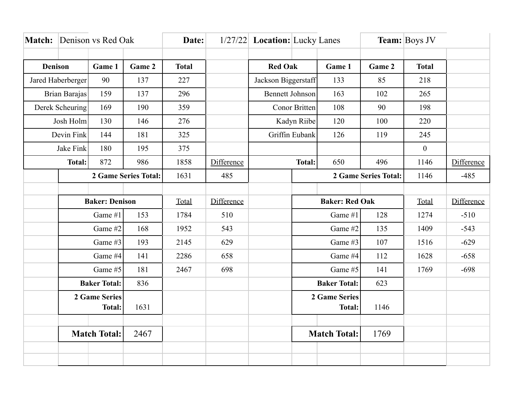|                          | <b>Match:</b> Denison vs Red Oak |        |              | Date: |                |                        | 1/27/22 Location: Lucky Lanes |                      |              | <b>Team:</b> Boys JV |            |
|--------------------------|----------------------------------|--------|--------------|-------|----------------|------------------------|-------------------------------|----------------------|--------------|----------------------|------------|
|                          |                                  |        |              |       |                |                        |                               |                      |              |                      |            |
| <b>Denison</b><br>Game 1 |                                  | Game 2 | <b>Total</b> |       | <b>Red Oak</b> |                        | Game 1                        | Game 2               | <b>Total</b> |                      |            |
| Jared Haberberger        |                                  | 90     | 137          | 227   |                | Jackson Biggerstaff    |                               | 133                  | 85           | 218                  |            |
| Brian Barajas            |                                  | 159    | 137          | 296   |                | <b>Bennett Johnson</b> |                               | 163                  | 102          | 265                  |            |
|                          | Derek Scheuring                  |        | 190          | 359   |                | <b>Conor Britten</b>   |                               | 108                  | 90           | 198                  |            |
|                          | Josh Holm                        |        | 146          | 276   |                | Kadyn Riibe            |                               | 120                  | 100          | 220                  |            |
|                          | Devin Fink                       | 144    | 181          | 325   |                | Griffin Eubank         |                               | 126                  | 119          | 245                  |            |
| Jake Fink                |                                  | 180    | 195          | 375   |                |                        |                               |                      |              | $\boldsymbol{0}$     |            |
|                          | <b>Total:</b>                    |        | 986          | 1858  | Difference     |                        | <b>Total:</b>                 | 650                  | 496          | 1146                 | Difference |
|                          | 2 Game Series Total:             |        | 1631         | 485   |                |                        |                               | 2 Game Series Total: | 1146         | $-485$               |            |
|                          |                                  |        |              |       |                |                        |                               |                      |              |                      |            |
| <b>Baker: Denison</b>    |                                  |        |              | Total | Difference     |                        | <b>Baker: Red Oak</b>         |                      |              | Total                | Difference |
|                          | Game #1<br>153                   |        |              | 1784  | 510            |                        | Game #1                       |                      | 128          | 1274                 | $-510$     |
|                          | Game #2                          |        | 168          | 1952  | 543            |                        | Game #2                       |                      | 135          | 1409                 | $-543$     |
|                          | Game #3                          |        | 193          | 2145  | 629            |                        | Game #3                       |                      | 107          | 1516                 | $-629$     |
|                          | Game #4                          |        | 141          | 2286  | 658            |                        | Game #4                       |                      | 112          | 1628                 | $-658$     |
|                          | Game #5                          |        | 181          | 2467  | 698            |                        | Game #5                       |                      | 141          | 1769                 | $-698$     |
|                          | <b>Baker Total:</b>              |        | 836          |       |                |                        | <b>Baker Total:</b>           |                      | 623          |                      |            |
|                          | 2 Game Series                    |        |              |       |                |                        | 2 Game Series                 |                      |              |                      |            |
|                          | <b>Total:</b>                    |        | 1631         |       |                |                        |                               | <b>Total:</b>        | 1146         |                      |            |
|                          |                                  |        |              |       |                |                        |                               |                      |              |                      |            |
|                          | <b>Match Total:</b>              |        | 2467         |       |                |                        |                               | <b>Match Total:</b>  | 1769         |                      |            |
|                          |                                  |        |              |       |                |                        |                               |                      |              |                      |            |
|                          |                                  |        |              |       |                |                        |                               |                      |              |                      |            |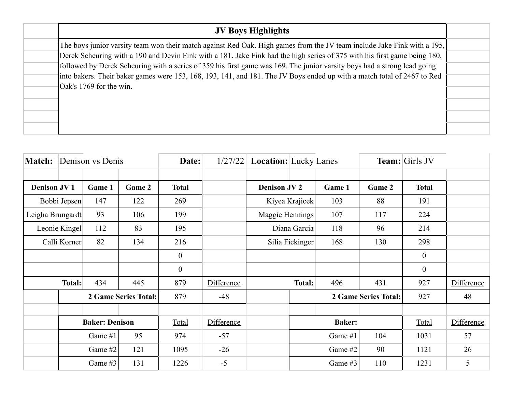| <b>JV Boys Highlights</b>                                                                                                 |  |
|---------------------------------------------------------------------------------------------------------------------------|--|
| The boys junior varsity team won their match against Red Oak. High games from the JV team include Jake Fink with a 195,   |  |
| Derek Scheuring with a 190 and Devin Fink with a 181. Jake Fink had the high series of 375 with his first game being 180, |  |
| followed by Derek Scheuring with a series of 359 his first game was 169. The junior varsity boys had a strong lead going  |  |
| into bakers. Their baker games were 153, 168, 193, 141, and 181. The JV Boys ended up with a match total of 2467 to Red   |  |
| Oak's 1769 for the win.                                                                                                   |  |
|                                                                                                                           |  |
|                                                                                                                           |  |
|                                                                                                                           |  |

| <b>Match:</b>        | Denison vs Denis      |         | Date:  |                |                   | $1/27/22$ <b>Location:</b> Lucky Lanes |               |         | Team: Girls JV |                |            |
|----------------------|-----------------------|---------|--------|----------------|-------------------|----------------------------------------|---------------|---------|----------------|----------------|------------|
| <b>Denison JV1</b>   |                       | Game 1  | Game 2 | <b>Total</b>   |                   | <b>Denison JV 2</b>                    |               | Game 1  | Game 2         | <b>Total</b>   |            |
| Bobbi Jepsen         |                       | 147     | 122    | 269            |                   | Kiyea Krajicek                         |               | 103     | 88             | 191            |            |
| Leigha Brungardt     |                       | 93      | 106    | 199            |                   | Maggie Hennings                        |               | 107     | 117            | 224            |            |
| Leonie Kingel        |                       | 112     | 83     | 195            |                   | Diana Garcia                           |               | 118     | 96             | 214            |            |
| Calli Korner         |                       | 82      | 134    | 216            |                   | Silia Fickinger                        |               | 168     | 130            | 298            |            |
|                      |                       |         |        | $\mathbf{0}$   |                   |                                        |               |         |                | $\overline{0}$ |            |
|                      |                       |         |        | $\overline{0}$ |                   |                                        |               |         |                | $\overline{0}$ |            |
| <b>Total:</b>        |                       | 434     | 445    | 879            | <b>Difference</b> |                                        | Total:        | 496     | 431            | 927            | Difference |
| 2 Game Series Total: |                       |         | 879    | $-48$          |                   | 2 Game Series Total:                   |               | 927     | 48             |                |            |
|                      |                       |         |        |                |                   |                                        |               |         |                |                |            |
|                      | <b>Baker: Denison</b> |         |        | Total          | Difference        |                                        | <b>Baker:</b> |         | Total          | Difference     |            |
|                      | 95<br>Game #1         |         | 974    | $-57$          |                   |                                        | Game #1       | 104     | 1031           | 57             |            |
|                      | Game #2<br>121        |         |        | 1095           | $-26$             |                                        |               | Game #2 | 90             | 1121           | 26         |
|                      |                       | Game #3 | 131    | 1226           | $-5$              |                                        |               | Game #3 | 110            | 1231           | 5          |